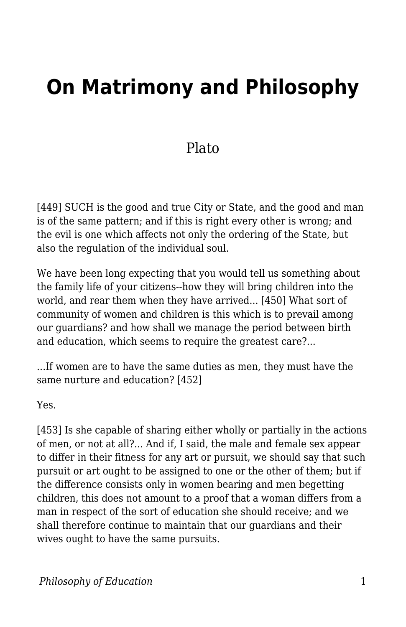## **On Matrimony and Philosophy**

## Plato

[449] SUCH is the good and true City or State, and the good and man is of the same pattern; and if this is right every other is wrong; and the evil is one which affects not only the ordering of the State, but also the regulation of the individual soul.

We have been long expecting that you would tell us something about the family life of your citizens--how they will bring children into the world, and rear them when they have arrived... [450] What sort of community of women and children is this which is to prevail among our guardians? and how shall we manage the period between birth and education, which seems to require the greatest care?...

...If women are to have the same duties as men, they must have the same nurture and education? [452]

Yes.

[453] Is she capable of sharing either wholly or partially in the actions of men, or not at all?... And if, I said, the male and female sex appear to differ in their fitness for any art or pursuit, we should say that such pursuit or art ought to be assigned to one or the other of them; but if the difference consists only in women bearing and men begetting children, this does not amount to a proof that a woman differs from a man in respect of the sort of education she should receive; and we shall therefore continue to maintain that our guardians and their wives ought to have the same pursuits.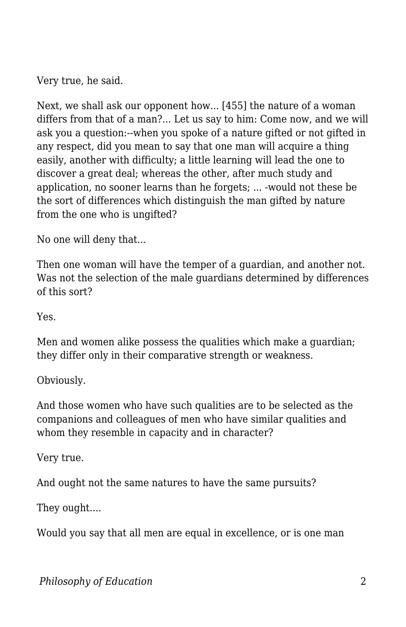Very true, he said.

Next, we shall ask our opponent how... [455] the nature of a woman differs from that of a man?... Let us say to him: Come now, and we will ask you a question:--when you spoke of a nature gifted or not gifted in any respect, did you mean to say that one man will acquire a thing easily, another with difficulty; a little learning will lead the one to discover a great deal; whereas the other, after much study and application, no sooner learns than he forgets; ... -would not these be the sort of differences which distinguish the man gifted by nature from the one who is ungifted?

No one will deny that...

Then one woman will have the temper of a guardian, and another not. Was not the selection of the male guardians determined by differences of this sort?

Yes.

Men and women alike possess the qualities which make a guardian; they differ only in their comparative strength or weakness.

Obviously.

And those women who have such qualities are to be selected as the companions and colleagues of men who have similar qualities and whom they resemble in capacity and in character?

Very true.

And ought not the same natures to have the same pursuits?

They ought....

Would you say that all men are equal in excellence, or is one man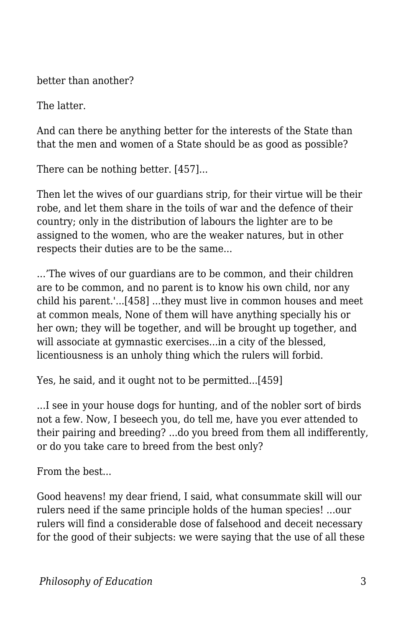better than another?

The latter.

And can there be anything better for the interests of the State than that the men and women of a State should be as good as possible?

There can be nothing better. [457]...

Then let the wives of our guardians strip, for their virtue will be their robe, and let them share in the toils of war and the defence of their country; only in the distribution of labours the lighter are to be assigned to the women, who are the weaker natures, but in other respects their duties are to be the same...

...'The wives of our guardians are to be common, and their children are to be common, and no parent is to know his own child, nor any child his parent.'...[458] ...they must live in common houses and meet at common meals, None of them will have anything specially his or her own; they will be together, and will be brought up together, and will associate at gymnastic exercises...in a city of the blessed, licentiousness is an unholy thing which the rulers will forbid.

Yes, he said, and it ought not to be permitted...[459]

...I see in your house dogs for hunting, and of the nobler sort of birds not a few. Now, I beseech you, do tell me, have you ever attended to their pairing and breeding? ...do you breed from them all indifferently, or do you take care to breed from the best only?

From the best...

Good heavens! my dear friend, I said, what consummate skill will our rulers need if the same principle holds of the human species! ...our rulers will find a considerable dose of falsehood and deceit necessary for the good of their subjects: we were saying that the use of all these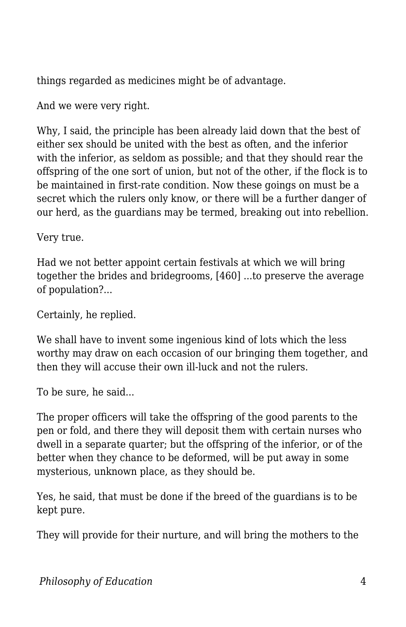things regarded as medicines might be of advantage.

And we were very right.

Why, I said, the principle has been already laid down that the best of either sex should be united with the best as often, and the inferior with the inferior, as seldom as possible; and that they should rear the offspring of the one sort of union, but not of the other, if the flock is to be maintained in first-rate condition. Now these goings on must be a secret which the rulers only know, or there will be a further danger of our herd, as the guardians may be termed, breaking out into rebellion.

Very true.

Had we not better appoint certain festivals at which we will bring together the brides and bridegrooms, [460] ...to preserve the average of population?...

Certainly, he replied.

We shall have to invent some ingenious kind of lots which the less worthy may draw on each occasion of our bringing them together, and then they will accuse their own ill-luck and not the rulers.

To be sure, he said...

The proper officers will take the offspring of the good parents to the pen or fold, and there they will deposit them with certain nurses who dwell in a separate quarter; but the offspring of the inferior, or of the better when they chance to be deformed, will be put away in some mysterious, unknown place, as they should be.

Yes, he said, that must be done if the breed of the guardians is to be kept pure.

They will provide for their nurture, and will bring the mothers to the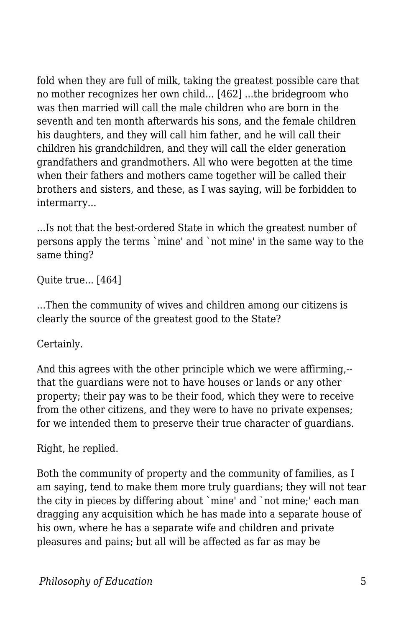fold when they are full of milk, taking the greatest possible care that no mother recognizes her own child... [462] ...the bridegroom who was then married will call the male children who are born in the seventh and ten month afterwards his sons, and the female children his daughters, and they will call him father, and he will call their children his grandchildren, and they will call the elder generation grandfathers and grandmothers. All who were begotten at the time when their fathers and mothers came together will be called their brothers and sisters, and these, as I was saying, will be forbidden to intermarry...

...Is not that the best-ordered State in which the greatest number of persons apply the terms `mine' and `not mine' in the same way to the same thing?

Quite true... [464]

...Then the community of wives and children among our citizens is clearly the source of the greatest good to the State?

Certainly.

And this agrees with the other principle which we were affirming,- that the guardians were not to have houses or lands or any other property; their pay was to be their food, which they were to receive from the other citizens, and they were to have no private expenses; for we intended them to preserve their true character of guardians.

Right, he replied.

Both the community of property and the community of families, as I am saying, tend to make them more truly guardians; they will not tear the city in pieces by differing about `mine' and `not mine;' each man dragging any acquisition which he has made into a separate house of his own, where he has a separate wife and children and private pleasures and pains; but all will be affected as far as may be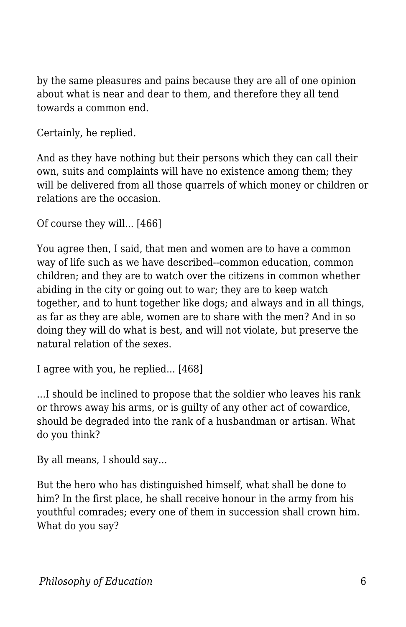by the same pleasures and pains because they are all of one opinion about what is near and dear to them, and therefore they all tend towards a common end.

Certainly, he replied.

And as they have nothing but their persons which they can call their own, suits and complaints will have no existence among them; they will be delivered from all those quarrels of which money or children or relations are the occasion.

```
Of course they will... [466]
```
You agree then, I said, that men and women are to have a common way of life such as we have described--common education, common children; and they are to watch over the citizens in common whether abiding in the city or going out to war; they are to keep watch together, and to hunt together like dogs; and always and in all things, as far as they are able, women are to share with the men? And in so doing they will do what is best, and will not violate, but preserve the natural relation of the sexes.

I agree with you, he replied... [468]

...I should be inclined to propose that the soldier who leaves his rank or throws away his arms, or is guilty of any other act of cowardice, should be degraded into the rank of a husbandman or artisan. What do you think?

By all means, I should say...

But the hero who has distinguished himself, what shall be done to him? In the first place, he shall receive honour in the army from his youthful comrades; every one of them in succession shall crown him. What do you say?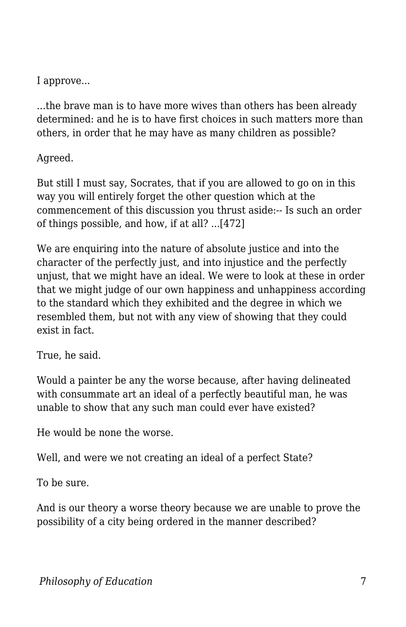I approve...

...the brave man is to have more wives than others has been already determined: and he is to have first choices in such matters more than others, in order that he may have as many children as possible?

Agreed.

But still I must say, Socrates, that if you are allowed to go on in this way you will entirely forget the other question which at the commencement of this discussion you thrust aside:-- Is such an order of things possible, and how, if at all? ...[472]

We are enquiring into the nature of absolute justice and into the character of the perfectly just, and into injustice and the perfectly unjust, that we might have an ideal. We were to look at these in order that we might judge of our own happiness and unhappiness according to the standard which they exhibited and the degree in which we resembled them, but not with any view of showing that they could exist in fact.

True, he said.

Would a painter be any the worse because, after having delineated with consummate art an ideal of a perfectly beautiful man, he was unable to show that any such man could ever have existed?

He would be none the worse.

Well, and were we not creating an ideal of a perfect State?

To be sure.

And is our theory a worse theory because we are unable to prove the possibility of a city being ordered in the manner described?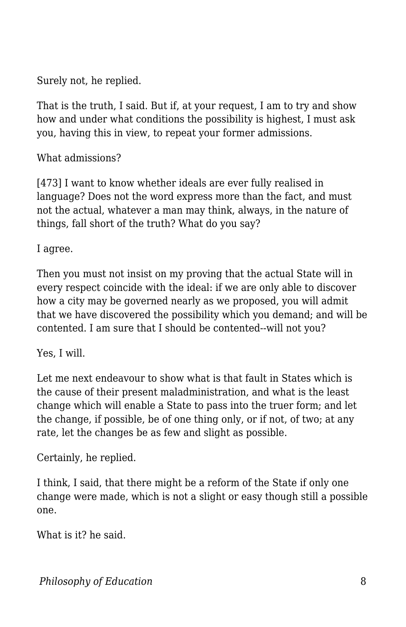Surely not, he replied.

That is the truth, I said. But if, at your request, I am to try and show how and under what conditions the possibility is highest, I must ask you, having this in view, to repeat your former admissions.

What admissions?

[473] I want to know whether ideals are ever fully realised in language? Does not the word express more than the fact, and must not the actual, whatever a man may think, always, in the nature of things, fall short of the truth? What do you say?

I agree.

Then you must not insist on my proving that the actual State will in every respect coincide with the ideal: if we are only able to discover how a city may be governed nearly as we proposed, you will admit that we have discovered the possibility which you demand; and will be contented. I am sure that I should be contented--will not you?

Yes, I will.

Let me next endeavour to show what is that fault in States which is the cause of their present maladministration, and what is the least change which will enable a State to pass into the truer form; and let the change, if possible, be of one thing only, or if not, of two; at any rate, let the changes be as few and slight as possible.

Certainly, he replied.

I think, I said, that there might be a reform of the State if only one change were made, which is not a slight or easy though still a possible one.

What is it? he said.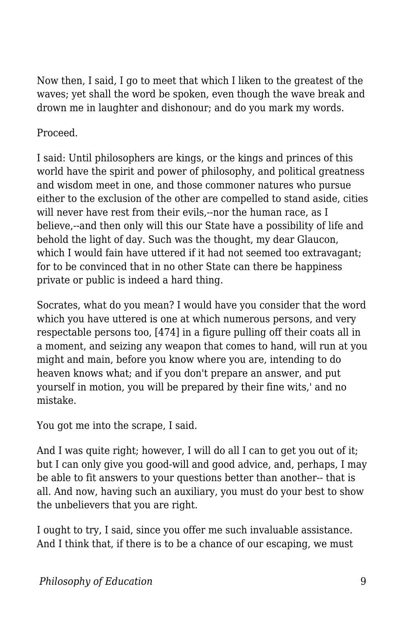Now then, I said, I go to meet that which I liken to the greatest of the waves; yet shall the word be spoken, even though the wave break and drown me in laughter and dishonour; and do you mark my words.

## Proceed.

I said: Until philosophers are kings, or the kings and princes of this world have the spirit and power of philosophy, and political greatness and wisdom meet in one, and those commoner natures who pursue either to the exclusion of the other are compelled to stand aside, cities will never have rest from their evils,--nor the human race, as I believe,--and then only will this our State have a possibility of life and behold the light of day. Such was the thought, my dear Glaucon, which I would fain have uttered if it had not seemed too extravagant; for to be convinced that in no other State can there be happiness private or public is indeed a hard thing.

Socrates, what do you mean? I would have you consider that the word which you have uttered is one at which numerous persons, and very respectable persons too, [474] in a figure pulling off their coats all in a moment, and seizing any weapon that comes to hand, will run at you might and main, before you know where you are, intending to do heaven knows what; and if you don't prepare an answer, and put yourself in motion, you will be prepared by their fine wits,' and no mistake.

You got me into the scrape, I said.

And I was quite right; however, I will do all I can to get you out of it; but I can only give you good-will and good advice, and, perhaps, I may be able to fit answers to your questions better than another-- that is all. And now, having such an auxiliary, you must do your best to show the unbelievers that you are right.

I ought to try, I said, since you offer me such invaluable assistance. And I think that, if there is to be a chance of our escaping, we must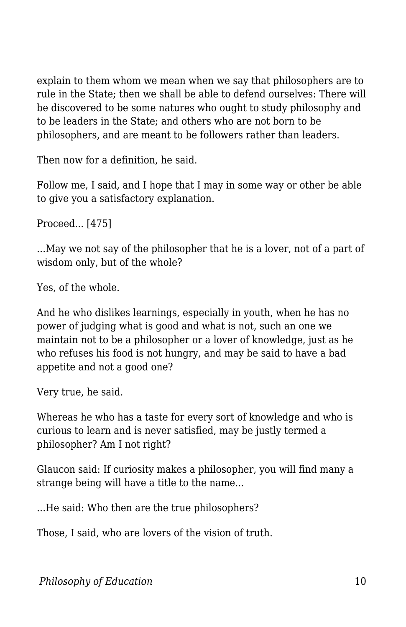explain to them whom we mean when we say that philosophers are to rule in the State; then we shall be able to defend ourselves: There will be discovered to be some natures who ought to study philosophy and to be leaders in the State; and others who are not born to be philosophers, and are meant to be followers rather than leaders.

Then now for a definition, he said.

Follow me, I said, and I hope that I may in some way or other be able to give you a satisfactory explanation.

Proceed... [475]

...May we not say of the philosopher that he is a lover, not of a part of wisdom only, but of the whole?

Yes, of the whole.

And he who dislikes learnings, especially in youth, when he has no power of judging what is good and what is not, such an one we maintain not to be a philosopher or a lover of knowledge, just as he who refuses his food is not hungry, and may be said to have a bad appetite and not a good one?

Very true, he said.

Whereas he who has a taste for every sort of knowledge and who is curious to learn and is never satisfied, may be justly termed a philosopher? Am I not right?

Glaucon said: If curiosity makes a philosopher, you will find many a strange being will have a title to the name...

...He said: Who then are the true philosophers?

Those, I said, who are lovers of the vision of truth.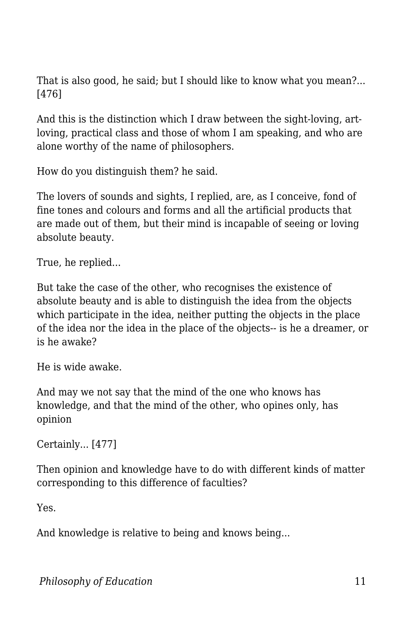That is also good, he said; but I should like to know what you mean?... [476]

And this is the distinction which I draw between the sight-loving, artloving, practical class and those of whom I am speaking, and who are alone worthy of the name of philosophers.

How do you distinguish them? he said.

The lovers of sounds and sights, I replied, are, as I conceive, fond of fine tones and colours and forms and all the artificial products that are made out of them, but their mind is incapable of seeing or loving absolute beauty.

True, he replied...

But take the case of the other, who recognises the existence of absolute beauty and is able to distinguish the idea from the objects which participate in the idea, neither putting the objects in the place of the idea nor the idea in the place of the objects-- is he a dreamer, or is he awake?

He is wide awake.

And may we not say that the mind of the one who knows has knowledge, and that the mind of the other, who opines only, has opinion

Certainly... [477]

Then opinion and knowledge have to do with different kinds of matter corresponding to this difference of faculties?

Yes.

And knowledge is relative to being and knows being...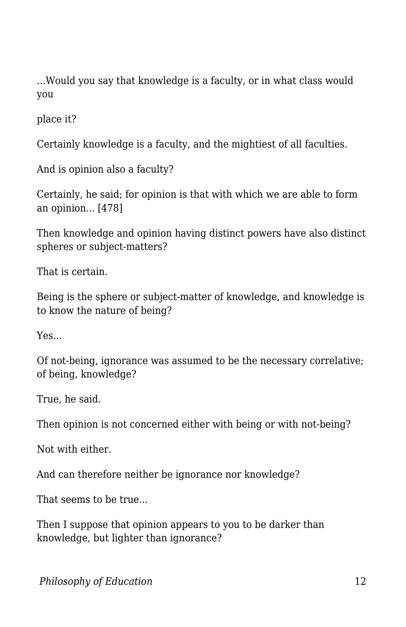...Would you say that knowledge is a faculty, or in what class would you

place it?

Certainly knowledge is a faculty, and the mightiest of all faculties.

And is opinion also a faculty?

Certainly, he said; for opinion is that with which we are able to form an opinion... [478]

Then knowledge and opinion having distinct powers have also distinct spheres or subject-matters?

That is certain.

Being is the sphere or subject-matter of knowledge, and knowledge is to know the nature of being?

Yes...

Of not-being, ignorance was assumed to be the necessary correlative; of being, knowledge?

True, he said.

Then opinion is not concerned either with being or with not-being?

Not with either.

And can therefore neither be ignorance nor knowledge?

That seems to be true...

Then I suppose that opinion appears to you to be darker than knowledge, but lighter than ignorance?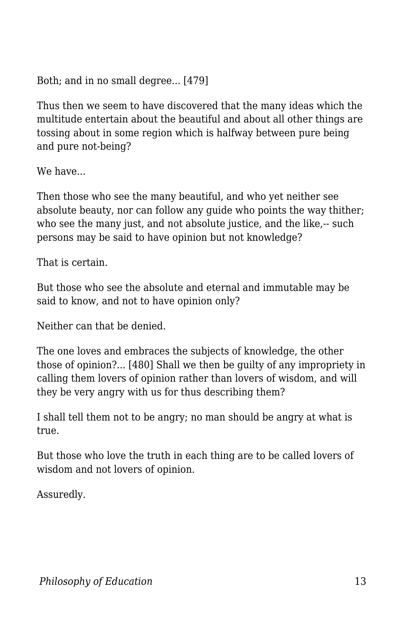Both; and in no small degree... [479]

Thus then we seem to have discovered that the many ideas which the multitude entertain about the beautiful and about all other things are tossing about in some region which is halfway between pure being and pure not-being?

We have...

Then those who see the many beautiful, and who yet neither see absolute beauty, nor can follow any guide who points the way thither; who see the many just, and not absolute justice, and the like,-- such persons may be said to have opinion but not knowledge?

That is certain.

But those who see the absolute and eternal and immutable may be said to know, and not to have opinion only?

Neither can that be denied.

The one loves and embraces the subjects of knowledge, the other those of opinion?... [480] Shall we then be guilty of any impropriety in calling them lovers of opinion rather than lovers of wisdom, and will they be very angry with us for thus describing them?

I shall tell them not to be angry; no man should be angry at what is true.

But those who love the truth in each thing are to be called lovers of wisdom and not lovers of opinion.

Assuredly.